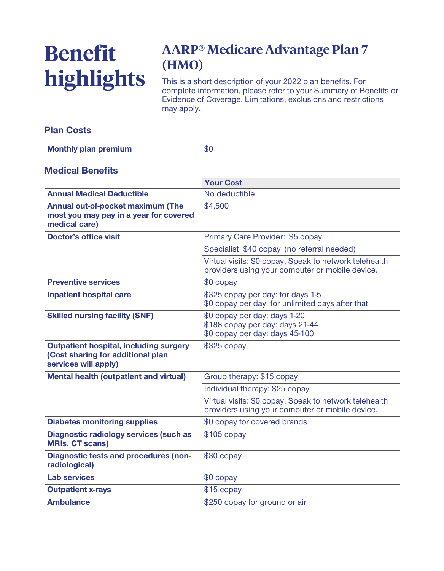# **Benefit highlights**

## **AARP® Medicare Advantage Plan 7 (HMO)**

**This is a short description of your 2022 plan benefits. For complete information, please refer to your Summary of Benefits or Evidence of Coverage. Limitations, exclusions and restrictions may apply.**

#### **Plan Costs**

| <b>Monthly plan premium</b> | .002<br>ΦU |
|-----------------------------|------------|

#### **Medical Benefits**

|                                                                                                            | <b>Your Cost</b>                                                                                          |  |
|------------------------------------------------------------------------------------------------------------|-----------------------------------------------------------------------------------------------------------|--|
| <b>Annual Medical Deductible</b>                                                                           | No deductible                                                                                             |  |
| Annual out-of-pocket maximum (The<br>most you may pay in a year for covered<br>medical care)               | \$4,500                                                                                                   |  |
| <b>Doctor's office visit</b>                                                                               | Primary Care Provider: \$5 copay                                                                          |  |
|                                                                                                            | Specialist: \$40 copay (no referral needed)                                                               |  |
|                                                                                                            | Virtual visits: \$0 copay; Speak to network telehealth<br>providers using your computer or mobile device. |  |
| <b>Preventive services</b>                                                                                 | \$0 copay                                                                                                 |  |
| <b>Inpatient hospital care</b>                                                                             | \$325 copay per day: for days 1-5<br>\$0 copay per day for unlimited days after that                      |  |
| <b>Skilled nursing facility (SNF)</b>                                                                      | \$0 copay per day: days 1-20<br>\$188 copay per day: days 21-44<br>\$0 copay per day: days 45-100         |  |
| <b>Outpatient hospital, including surgery</b><br>(Cost sharing for additional plan<br>services will apply) | $$325$ copay                                                                                              |  |
| <b>Mental health (outpatient and virtual)</b>                                                              | Group therapy: \$15 copay                                                                                 |  |
|                                                                                                            | Individual therapy: \$25 copay                                                                            |  |
|                                                                                                            | Virtual visits: \$0 copay; Speak to network telehealth<br>providers using your computer or mobile device. |  |
| <b>Diabetes monitoring supplies</b>                                                                        | \$0 copay for covered brands                                                                              |  |
| <b>Diagnostic radiology services (such as</b><br><b>MRIs, CT scans)</b>                                    | $$105$ copay                                                                                              |  |
| <b>Diagnostic tests and procedures (non-</b><br>radiological)                                              | \$30 copay                                                                                                |  |
| <b>Lab services</b>                                                                                        | \$0 copay                                                                                                 |  |
| <b>Outpatient x-rays</b>                                                                                   | \$15 copay                                                                                                |  |
| <b>Ambulance</b>                                                                                           | \$250 copay for ground or air                                                                             |  |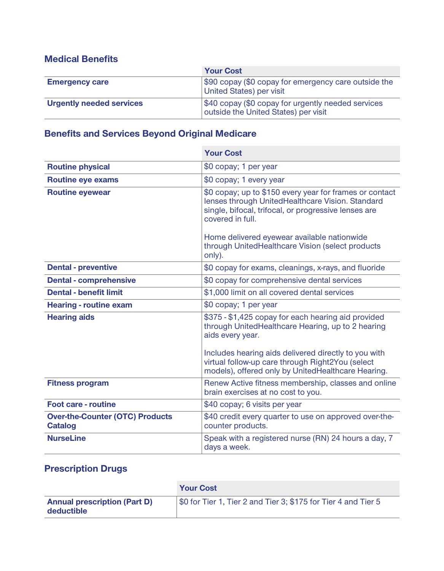#### **Medical Benefits**

|                                 | <b>Your Cost</b>                                                                           |  |
|---------------------------------|--------------------------------------------------------------------------------------------|--|
| <b>Emergency care</b>           | \$90 copay (\$0 copay for emergency care outside the<br>United States) per visit           |  |
| <b>Urgently needed services</b> | \$40 copay (\$0 copay for urgently needed services<br>outside the United States) per visit |  |

### **Benefits and Services Beyond Original Medicare**

|                                                          | <b>Your Cost</b>                                                                                                                                                                                                                                                                           |  |
|----------------------------------------------------------|--------------------------------------------------------------------------------------------------------------------------------------------------------------------------------------------------------------------------------------------------------------------------------------------|--|
| <b>Routine physical</b>                                  | \$0 copay; 1 per year                                                                                                                                                                                                                                                                      |  |
| <b>Routine eye exams</b>                                 | \$0 copay; 1 every year                                                                                                                                                                                                                                                                    |  |
| <b>Routine eyewear</b>                                   | \$0 copay; up to \$150 every year for frames or contact<br>lenses through UnitedHealthcare Vision. Standard<br>single, bifocal, trifocal, or progressive lenses are<br>covered in full.<br>Home delivered eyewear available nationwide<br>through UnitedHealthcare Vision (select products |  |
|                                                          | only).                                                                                                                                                                                                                                                                                     |  |
| <b>Dental - preventive</b>                               | \$0 copay for exams, cleanings, x-rays, and fluoride                                                                                                                                                                                                                                       |  |
| <b>Dental - comprehensive</b>                            | \$0 copay for comprehensive dental services                                                                                                                                                                                                                                                |  |
| <b>Dental - benefit limit</b>                            | \$1,000 limit on all covered dental services                                                                                                                                                                                                                                               |  |
| <b>Hearing - routine exam</b>                            | \$0 copay; 1 per year                                                                                                                                                                                                                                                                      |  |
| <b>Hearing aids</b>                                      | \$375 - \$1,425 copay for each hearing aid provided<br>through UnitedHealthcare Hearing, up to 2 hearing<br>aids every year.<br>Includes hearing aids delivered directly to you with                                                                                                       |  |
|                                                          | virtual follow-up care through Right2You (select<br>models), offered only by UnitedHealthcare Hearing.                                                                                                                                                                                     |  |
| <b>Fitness program</b>                                   | Renew Active fitness membership, classes and online<br>brain exercises at no cost to you.                                                                                                                                                                                                  |  |
| <b>Foot care - routine</b>                               | \$40 copay; 6 visits per year                                                                                                                                                                                                                                                              |  |
| <b>Over-the-Counter (OTC) Products</b><br><b>Catalog</b> | \$40 credit every quarter to use on approved over-the-<br>counter products.                                                                                                                                                                                                                |  |
| <b>NurseLine</b>                                         | Speak with a registered nurse (RN) 24 hours a day, 7<br>days a week.                                                                                                                                                                                                                       |  |

## **Prescription Drugs**

|                                                   | <b>Your Cost</b>                                               |
|---------------------------------------------------|----------------------------------------------------------------|
| <b>Annual prescription (Part D)</b><br>deductible | \$0 for Tier 1, Tier 2 and Tier 3; \$175 for Tier 4 and Tier 5 |